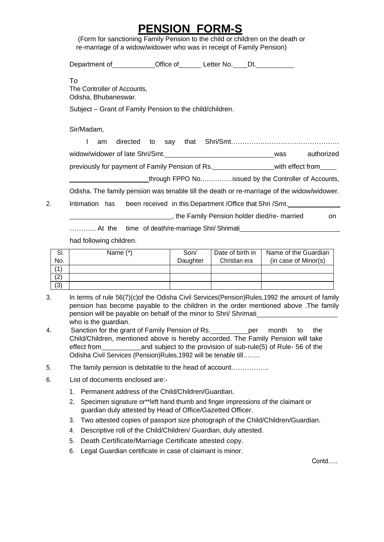## **PENSION FORM-S**

(Form for sanctioning Family Pension to the child or children on the death or re-marriage of a widow/widower who was in receipt of Family Pension)

Department of Coffice of Letter No. Dt. To The Controller of Accounts, Odisha, Bhubaneswar. Subject – Grant of Family Pension to the child/children.

Sir/Madam,

|  | am |                                                 |  |                                                                                                                                                                                                                                                                                                                                                                                      |                  |            |
|--|----|-------------------------------------------------|--|--------------------------------------------------------------------------------------------------------------------------------------------------------------------------------------------------------------------------------------------------------------------------------------------------------------------------------------------------------------------------------------|------------------|------------|
|  |    | widow/widower of late Shri/Smt.                 |  |                                                                                                                                                                                                                                                                                                                                                                                      | was              | authorized |
|  |    | previously for payment of Family Pension of Rs. |  |                                                                                                                                                                                                                                                                                                                                                                                      | with effect from |            |
|  |    |                                                 |  | $\overline{a}$ $\overline{a}$ $\overline{a}$ $\overline{a}$ $\overline{a}$ $\overline{a}$ $\overline{a}$ $\overline{a}$ $\overline{a}$ $\overline{a}$ $\overline{a}$ $\overline{a}$ $\overline{a}$ $\overline{a}$ $\overline{a}$ $\overline{a}$ $\overline{a}$ $\overline{a}$ $\overline{a}$ $\overline{a}$ $\overline{a}$ $\overline{a}$ $\overline{a}$ $\overline{a}$ $\overline{$ |                  |            |

through FPPO No……………issued by the Controller of Accounts,

Odisha. The family pension was tenable till the death or re-marriage of the widow/widower.

2. Intimation has been received in this Department /Office that Shri /Smt.

the Family Pension holder died/re- married on

………... At the time of death/re-marriage Shri/ Shrimati

had following children.

| SI. | Name (*) | Son/     | Date of birth in | Name of the Guardian |
|-----|----------|----------|------------------|----------------------|
| No. |          | Daughter | Christian era    | (in case of Minor(s) |
| (1  |          |          |                  |                      |
| (2) |          |          |                  |                      |
| (3) |          |          |                  |                      |

- 3. In terms of rule 56(7)(c)of the Odisha Civil Services(Pension)Rules,1992 the amount of family pension has become payable to the children in the order mentioned above .The family pension will be payable on behalf of the minor to Shri/ Shrimati who is the guardian.
- 4. Sanction for the grant of Family Pension of Rs. \_\_\_\_\_\_\_\_\_ per month to the Child/Children, mentioned above is hereby accorded. The Family Pension will take effect from and subject to the provision of sub-rule(5) of Rule- 56 of the Odisha Civil Services (Pension)Rules,1992 will be tenable till……..
- 5. The family pension is debitable to the head of account……………..
- 6. List of documents enclosed are:-
	- 1. Permanent address of the Child/Children/Guardian.
	- 2. Specimen signature or\*\*left hand thumb and finger impressions of the claimant or guardian duly attested by Head of Office/Gazetted Officer.
	- 3. Two attested copies of passport size photograph of the Child/Children/Guardian.
	- 4. Descriptive roll of the Child/Children/ Guardian, duly attested.
	- 5. Death Certificate/Marriage Certificate attested copy.
	- 6. Legal Guardian certificate in case of claimant is minor.

Contd…..